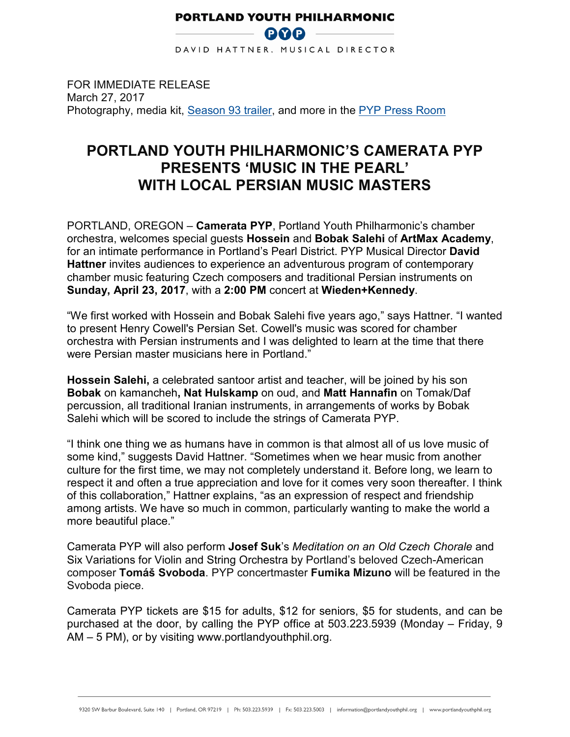## **PORTLAND YOUTH PHILHARMONIC BOO**

DAVID HATTNER, MUSICAL DIRECTOR

FOR IMMEDIATE RELEASE March 27, 2017 Photography, media kit, Season 93 trailer, and more in the PYP Press Room

## **PORTLAND YOUTH PHILHARMONIC'S CAMERATA PYP PRESENTS 'MUSIC IN THE PEARL' WITH LOCAL PERSIAN MUSIC MASTERS**

PORTLAND, OREGON – **Camerata PYP**, Portland Youth Philharmonic's chamber orchestra, welcomes special guests **Hossein** and **Bobak Salehi** of **ArtMax Academy**, for an intimate performance in Portland's Pearl District. PYP Musical Director **David Hattner** invites audiences to experience an adventurous program of contemporary chamber music featuring Czech composers and traditional Persian instruments on **Sunday, April 23, 2017**, with a **2:00 PM** concert at **Wieden+Kennedy**.

"We first worked with Hossein and Bobak Salehi five years ago," says Hattner. "I wanted to present Henry Cowell's Persian Set. Cowell's music was scored for chamber orchestra with Persian instruments and I was delighted to learn at the time that there were Persian master musicians here in Portland."

**Hossein Salehi,** a celebrated santoor artist and teacher, will be joined by his son **Bobak** on kamancheh**, Nat Hulskamp** on oud, and **Matt Hannafin** on Tomak/Daf percussion, all traditional Iranian instruments, in arrangements of works by Bobak Salehi which will be scored to include the strings of Camerata PYP.

"I think one thing we as humans have in common is that almost all of us love music of some kind," suggests David Hattner. "Sometimes when we hear music from another culture for the first time, we may not completely understand it. Before long, we learn to respect it and often a true appreciation and love for it comes very soon thereafter. I think of this collaboration," Hattner explains, "as an expression of respect and friendship among artists. We have so much in common, particularly wanting to make the world a more beautiful place."

Camerata PYP will also perform **Josef Suk**'s *Meditation on an Old Czech Chorale* and Six Variations for Violin and String Orchestra by Portland's beloved Czech-American composer **Tomáš Svoboda**. PYP concertmaster **Fumika Mizuno** will be featured in the Svoboda piece.

Camerata PYP tickets are \$15 for adults, \$12 for seniors, \$5 for students, and can be purchased at the door, by calling the PYP office at 503.223.5939 (Monday – Friday, 9 AM – 5 PM), or by visiting www.portlandyouthphil.org.